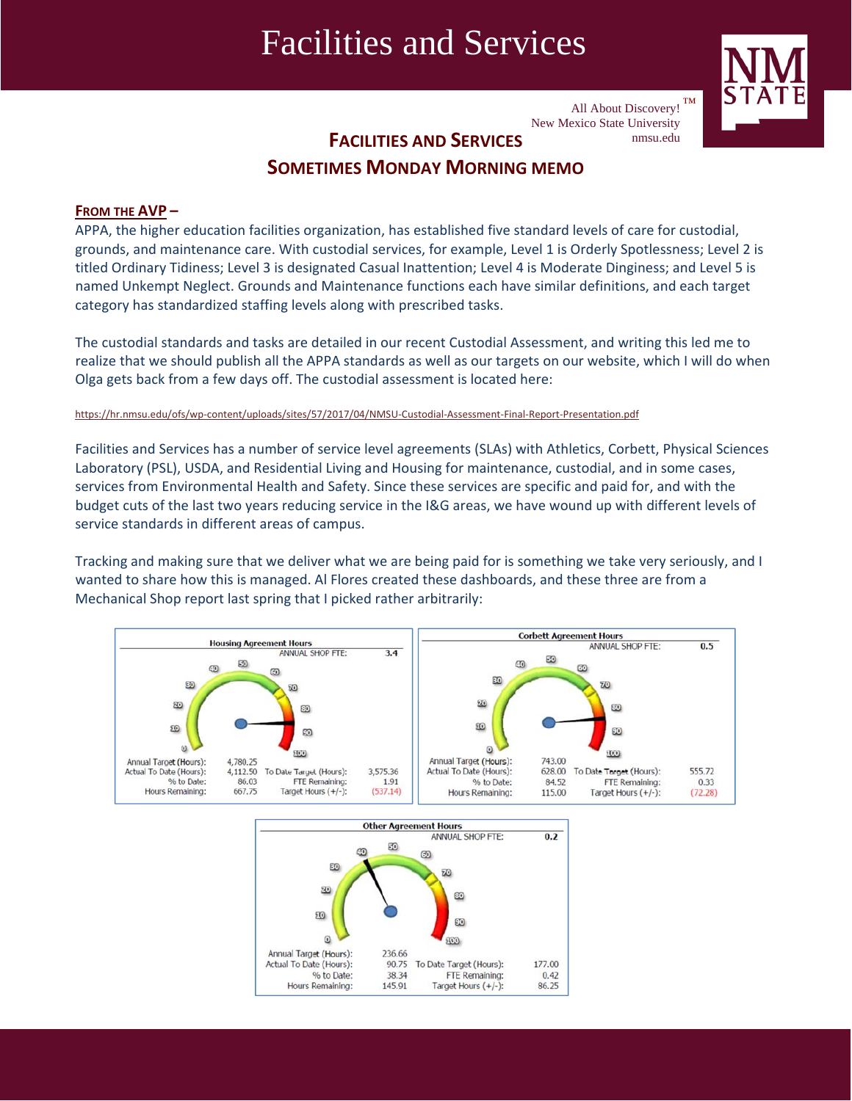# Facilities and Services



All About Discovery!<sup>™</sup> New Mexico State University nmsu.edu

# **FACILITIES AND SERVICES**

# **SOMETIMES MONDAY MORNING MEMO**

## **FROM THE AVP –**

APPA, the higher education facilities organization, has established five standard levels of care for custodial, grounds, and maintenance care. With custodial services, for example, Level 1 is Orderly Spotlessness; Level 2 is titled Ordinary Tidiness; Level 3 is designated Casual Inattention; Level 4 is Moderate Dinginess; and Level 5 is named Unkempt Neglect. Grounds and Maintenance functions each have similar definitions, and each target category has standardized staffing levels along with prescribed tasks.

The custodial standards and tasks are detailed in our recent Custodial Assessment, and writing this led me to realize that we should publish all the APPA standards as well as our targets on our website, which I will do when Olga gets back from a few days off. The custodial assessment is located here:

#### https://hr.nmsu.edu/ofs/wp‐content/uploads/sites/57/2017/04/NMSU‐Custodial‐Assessment‐Final‐Report‐Presentation.pdf

Facilities and Services has a number of service level agreements (SLAs) with Athletics, Corbett, Physical Sciences Laboratory (PSL), USDA, and Residential Living and Housing for maintenance, custodial, and in some cases, services from Environmental Health and Safety. Since these services are specific and paid for, and with the budget cuts of the last two years reducing service in the I&G areas, we have wound up with different levels of service standards in different areas of campus.

Tracking and making sure that we deliver what we are being paid for is something we take very seriously, and I wanted to share how this is managed. Al Flores created these dashboards, and these three are from a Mechanical Shop report last spring that I picked rather arbitrarily:



**AUD** 

To Date Target (Hours):

FTE Remaining:

Target Hours (+/-):

177.00

 $0.42$ 

86.25

236.66

90.75

38.34

145.91

 $\Omega$ 

% to Date:

**Hours Remaining:** 

Annual Target (Hours): Actual To Date (Hours):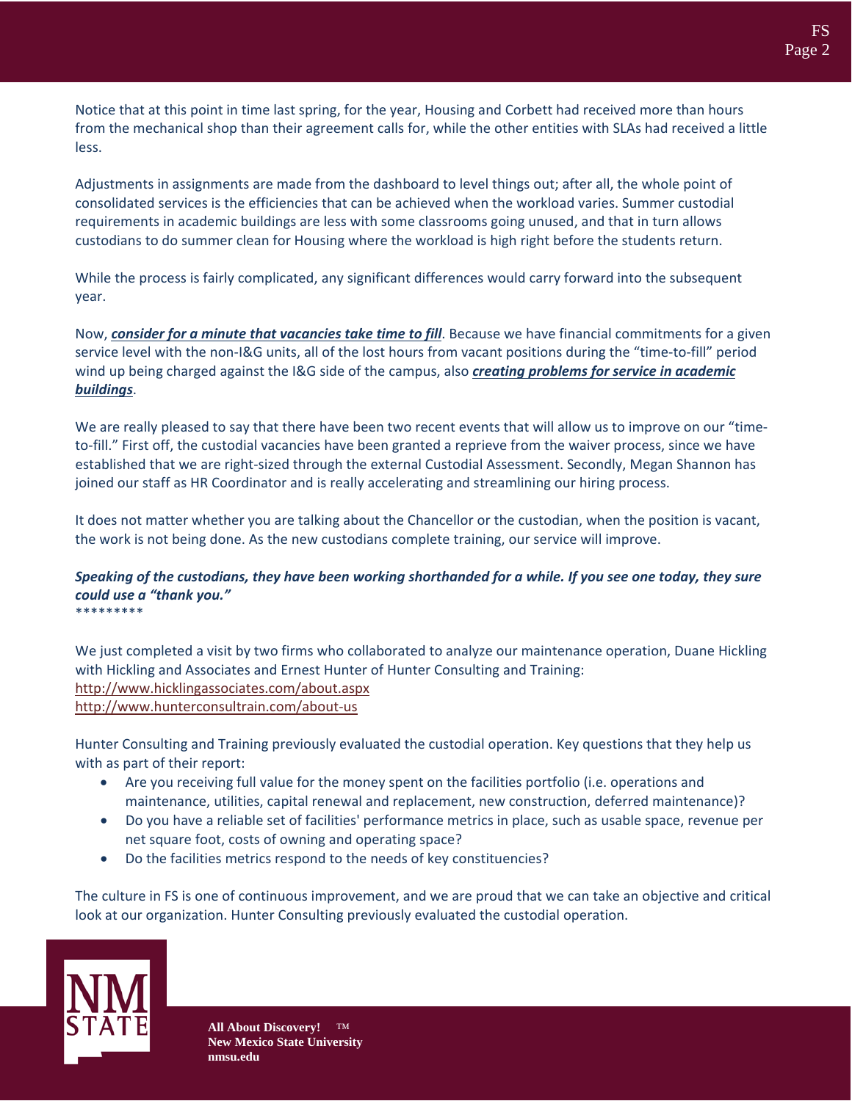Notice that at this point in time last spring, for the year, Housing and Corbett had received more than hours from the mechanical shop than their agreement calls for, while the other entities with SLAs had received a little less.

Adjustments in assignments are made from the dashboard to level things out; after all, the whole point of consolidated services is the efficiencies that can be achieved when the workload varies. Summer custodial requirements in academic buildings are less with some classrooms going unused, and that in turn allows custodians to do summer clean for Housing where the workload is high right before the students return.

While the process is fairly complicated, any significant differences would carry forward into the subsequent year.

Now, *consider for a minute that vacancies take time to fill*. Because we have financial commitments for a given service level with the non-I&G units, all of the lost hours from vacant positions during the "time-to-fill" period wind up being charged against the I&G side of the campus, also *creating problems for service in academic buildings*.

We are really pleased to say that there have been two recent events that will allow us to improve on our "timeto-fill." First off, the custodial vacancies have been granted a reprieve from the waiver process, since we have established that we are right‐sized through the external Custodial Assessment. Secondly, Megan Shannon has joined our staff as HR Coordinator and is really accelerating and streamlining our hiring process.

It does not matter whether you are talking about the Chancellor or the custodian, when the position is vacant, the work is not being done. As the new custodians complete training, our service will improve.

#### Speaking of the custodians, they have been working shorthanded for a while. If you see one today, they sure *could use a "thank you."* \*\*\*\*\*\*\*\*\*

We just completed a visit by two firms who collaborated to analyze our maintenance operation, Duane Hickling with Hickling and Associates and Ernest Hunter of Hunter Consulting and Training: http://www.hicklingassociates.com/about.aspx [http://www.hunterconsultrain.com/about](http://www.hunterconsultrain.com/about-us)‐us

Hunter Consulting and Training previously evaluated the custodial operation. Key questions that they help us with as part of their report:

- Are you receiving full value for the money spent on the facilities portfolio (i.e. operations and maintenance, utilities, capital renewal and replacement, new construction, deferred maintenance)?
- Do you have a reliable set of facilities' performance metrics in place, such as usable space, revenue per net square foot, costs of owning and operating space?
- Do the facilities metrics respond to the needs of key constituencies?

The culture in FS is one of continuous improvement, and we are proud that we can take an objective and critical look at our organization. Hunter Consulting previously evaluated the custodial operation.

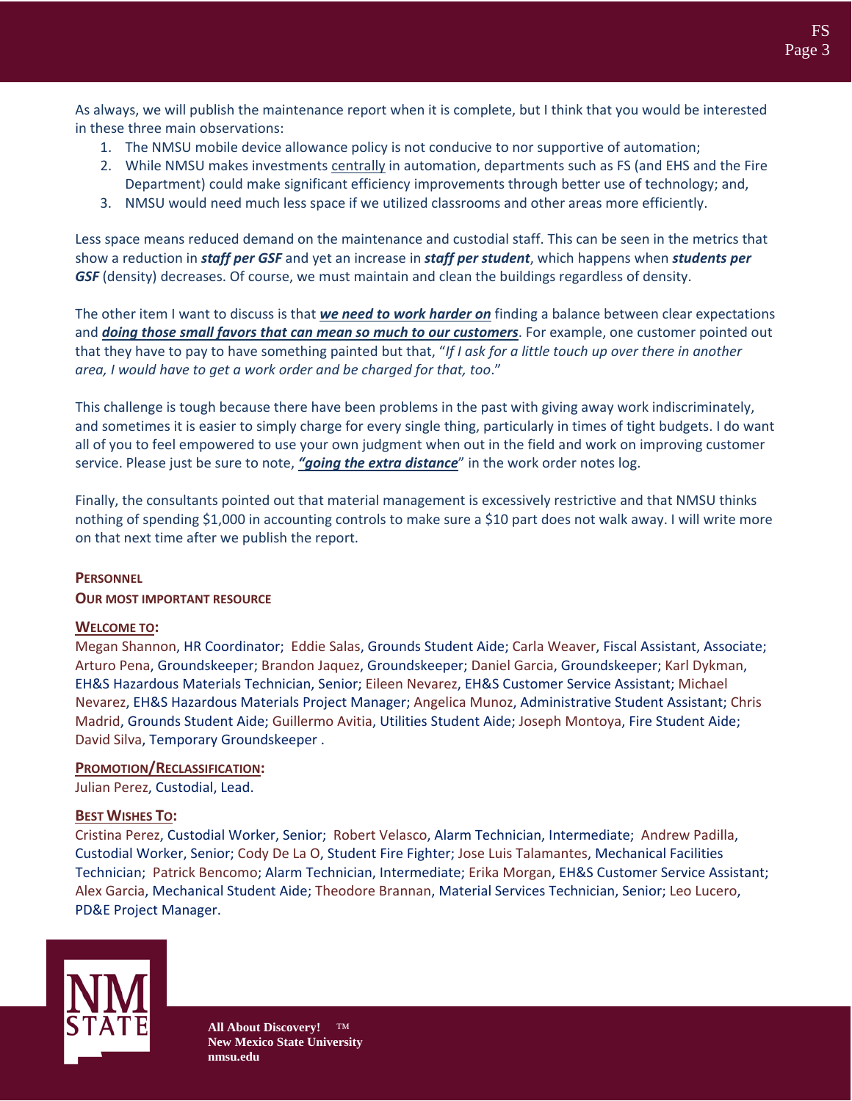As always, we will publish the maintenance report when it is complete, but I think that you would be interested in these three main observations:

- 1. The NMSU mobile device allowance policy is not conducive to nor supportive of automation;
- 2. While NMSU makes investments centrally in automation, departments such as FS (and EHS and the Fire Department) could make significant efficiency improvements through better use of technology; and,
- 3. NMSU would need much less space if we utilized classrooms and other areas more efficiently.

Less space means reduced demand on the maintenance and custodial staff. This can be seen in the metrics that show a reduction in *staff per GSF* and yet an increase in *staff per student*, which happens when *students per* **GSF** (density) decreases. Of course, we must maintain and clean the buildings regardless of density.

The other item I want to discuss is that *we need to work harder on* finding a balance between clear expectations and *doing those small favors that can mean so much to our customers*. For example, one customer pointed out that they have to pay to have something painted but that, "*If I ask for a little touch up over there in another area, I would have to get a work order and be charged for that, too*."

This challenge is tough because there have been problems in the past with giving away work indiscriminately, and sometimes it is easier to simply charge for every single thing, particularly in times of tight budgets. I do want all of you to feel empowered to use your own judgment when out in the field and work on improving customer service. Please just be sure to note, *"going the extra distance*" in the work order notes log.

Finally, the consultants pointed out that material management is excessively restrictive and that NMSU thinks nothing of spending \$1,000 in accounting controls to make sure a \$10 part does not walk away. I will write more on that next time after we publish the report.

#### **PERSONNEL**

#### **OUR MOST IMPORTANT RESOURCE**

#### **WELCOME TO:**

Megan Shannon, HR Coordinator; Eddie Salas, Grounds Student Aide; Carla Weaver, Fiscal Assistant, Associate; Arturo Pena, Groundskeeper; Brandon Jaquez, Groundskeeper; Daniel Garcia, Groundskeeper; Karl Dykman, EH&S Hazardous Materials Technician, Senior; Eileen Nevarez, EH&S Customer Service Assistant; Michael Nevarez, EH&S Hazardous Materials Project Manager; Angelica Munoz, Administrative Student Assistant; Chris Madrid, Grounds Student Aide; Guillermo Avitia, Utilities Student Aide; Joseph Montoya, Fire Student Aide; David Silva, Temporary Groundskeeper .

#### **PROMOTION/RECLASSIFICATION:**

Julian Perez, Custodial, Lead.

#### **BEST WISHES TO:**

Cristina Perez, Custodial Worker, Senior; Robert Velasco, Alarm Technician, Intermediate; Andrew Padilla, Custodial Worker, Senior; Cody De La O, Student Fire Fighter; Jose Luis Talamantes, Mechanical Facilities Technician; Patrick Bencomo; Alarm Technician, Intermediate; Erika Morgan, EH&S Customer Service Assistant; Alex Garcia, Mechanical Student Aide; Theodore Brannan, Material Services Technician, Senior; Leo Lucero, PD&E Project Manager.

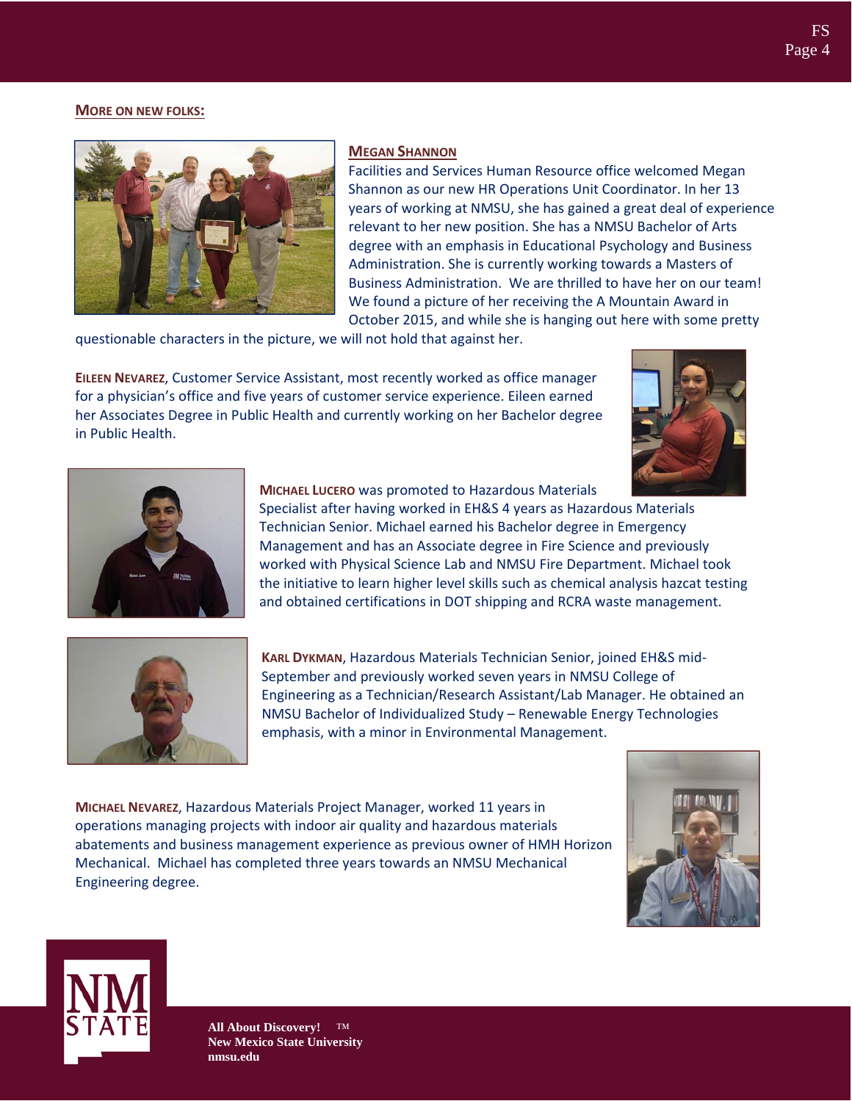#### **MORE ON NEW FOLKS:**



#### **MEGAN SHANNON**

Facilities and Services Human Resource office welcomed Megan Shannon as our new HR Operations Unit Coordinator. In her 13 years of working at NMSU, she has gained a great deal of experience relevant to her new position. She has a NMSU Bachelor of Arts degree with an emphasis in Educational Psychology and Business Administration. She is currently working towards a Masters of Business Administration. We are thrilled to have her on our team! We found a picture of her receiving the A Mountain Award in October 2015, and while she is hanging out here with some pretty

questionable characters in the picture, we will not hold that against her.

**EILEEN NEVAREZ**, Customer Service Assistant, most recently worked as office manager for a physician's office and five years of customer service experience. Eileen earned her Associates Degree in Public Health and currently working on her Bachelor degree in Public Health.





**MICHAEL LUCERO** was promoted to Hazardous Materials

Specialist after having worked in EH&S 4 years as Hazardous Materials Technician Senior. Michael earned his Bachelor degree in Emergency Management and has an Associate degree in Fire Science and previously worked with Physical Science Lab and NMSU Fire Department. Michael took the initiative to learn higher level skills such as chemical analysis hazcat testing and obtained certifications in DOT shipping and RCRA waste management.



**KARL DYKMAN**, Hazardous Materials Technician Senior, joined EH&S mid‐ September and previously worked seven years in NMSU College of Engineering as a Technician/Research Assistant/Lab Manager. He obtained an NMSU Bachelor of Individualized Study – Renewable Energy Technologies emphasis, with a minor in Environmental Management.

**MICHAEL NEVAREZ**, Hazardous Materials Project Manager, worked 11 years in operations managing projects with indoor air quality and hazardous materials abatements and business management experience as previous owner of HMH Horizon Mechanical. Michael has completed three years towards an NMSU Mechanical Engineering degree.



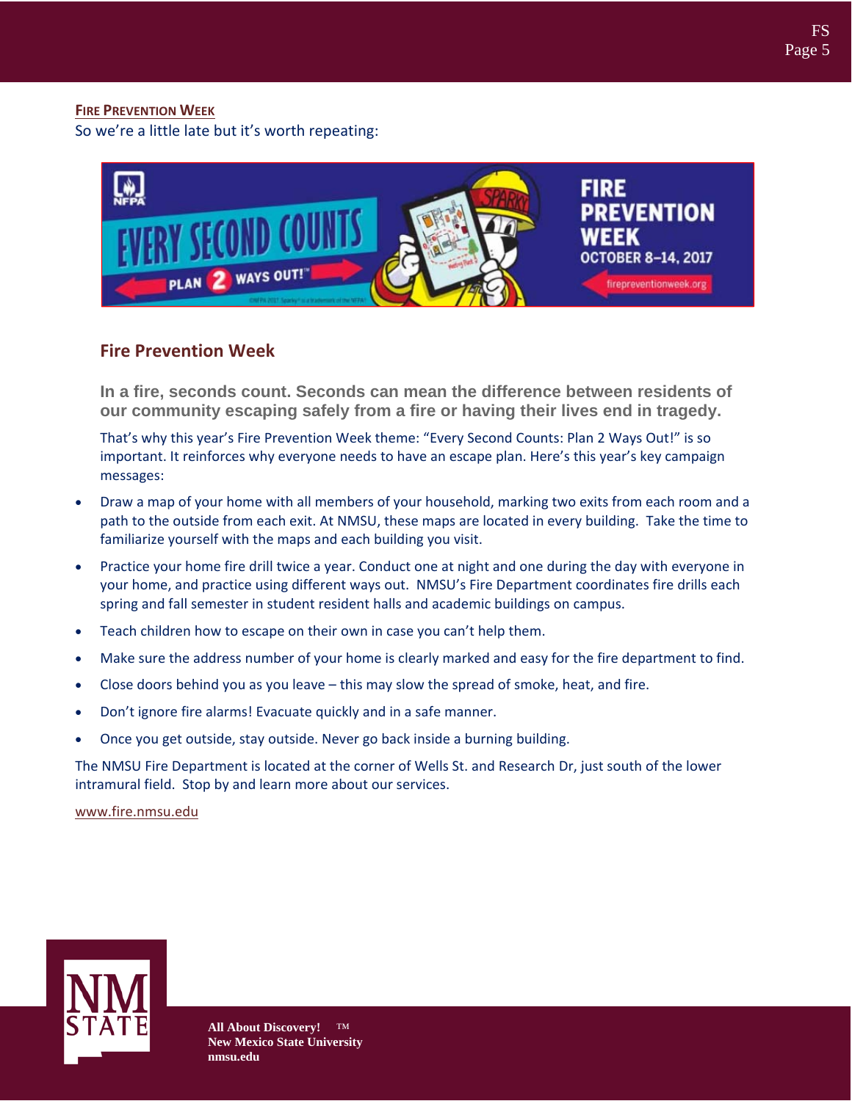# **FIRE PREVENTION WEEK**

So we're a little late but it's worth repeating:



# **Fire Prevention Week**

**In a fire, seconds count. Seconds can mean the difference between residents of our community escaping safely from a fire or having their lives end in tragedy.** 

That's why this year's Fire Prevention Week theme: "Every Second Counts: Plan 2 Ways Out!" is so important. It reinforces why everyone needs to have an escape plan. Here's this year's key campaign messages:

- Draw a map of your home with all members of your household, marking two exits from each room and a path to the outside from each exit. At NMSU, these maps are located in every building. Take the time to familiarize yourself with the maps and each building you visit.
- Practice your home fire drill twice a year. Conduct one at night and one during the day with everyone in your home, and practice using different ways out. NMSU's Fire Department coordinates fire drills each spring and fall semester in student resident halls and academic buildings on campus.
- Teach children how to escape on their own in case you can't help them.
- Make sure the address number of your home is clearly marked and easy for the fire department to find.
- Close doors behind you as you leave this may slow the spread of smoke, heat, and fire.
- Don't ignore fire alarms! Evacuate quickly and in a safe manner.
- Once you get outside, stay outside. Never go back inside a burning building.

The NMSU Fire Department is located at the corner of Wells St. and Research Dr, just south of the lower intramural field. Stop by and learn more about our services.

www.fire.nmsu.edu

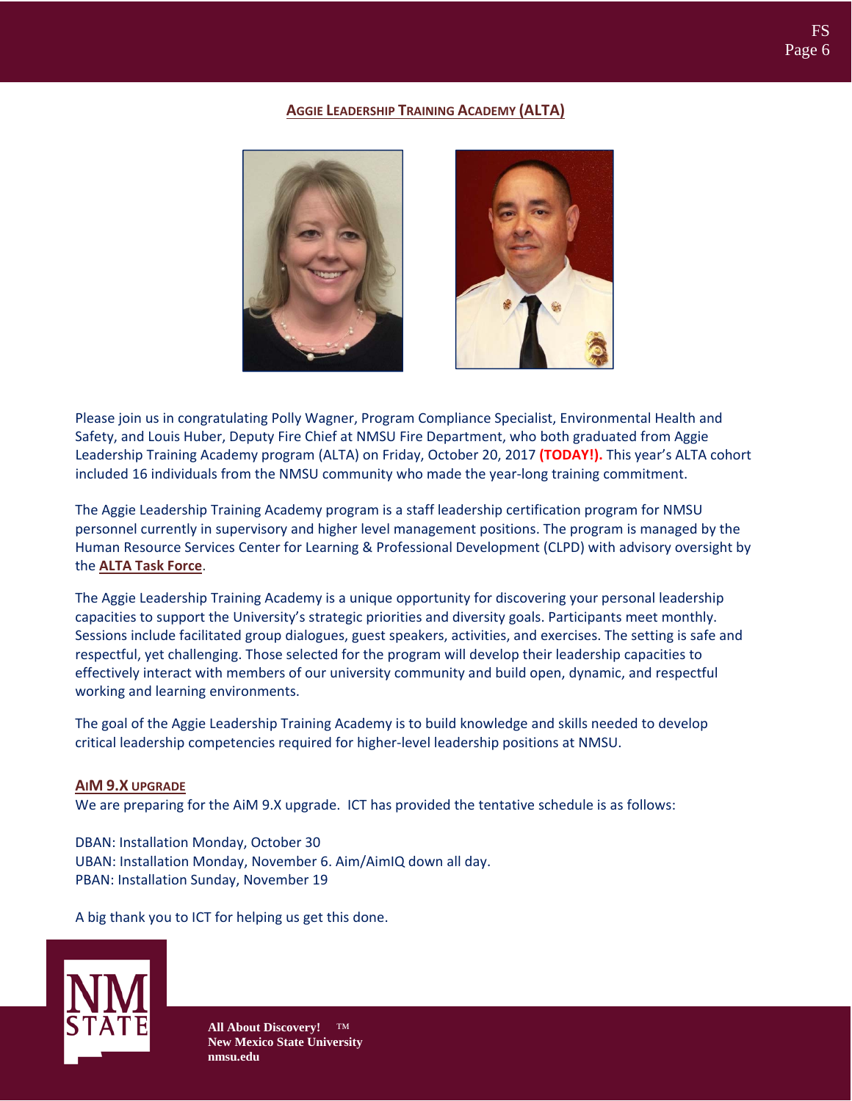## **AGGIE LEADERSHIP TRAINING ACADEMY (ALTA)**



Please join us in congratulating Polly Wagner, Program Compliance Specialist, Environmental Health and Safety, and Louis Huber, Deputy Fire Chief at NMSU Fire Department, who both graduated from Aggie Leadership Training Academy program (ALTA) on Friday, October 20, 2017 **(TODAY!).** This year's ALTA cohort included 16 individuals from the NMSU community who made the year-long training commitment.

The Aggie Leadership Training Academy program is a staff leadership certification program for NMSU personnel currently in supervisory and higher level management positions. The program is managed by the Human Resource Services Center for Learning & Professional Development (CLPD) with advisory oversight by the **ALTA Task [Force](https://training.nmsu.edu/alta/alta-taskforce/)**.

The Aggie Leadership Training Academy is a unique opportunity for discovering your personal leadership capacities to support the University's strategic priorities and diversity goals. Participants meet monthly. Sessions include facilitated group dialogues, guest speakers, activities, and exercises. The setting is safe and respectful, yet challenging. Those selected for the program will develop their leadership capacities to effectively interact with members of our university community and build open, dynamic, and respectful working and learning environments.

The goal of the Aggie Leadership Training Academy is to build knowledge and skills needed to develop critical leadership competencies required for higher‐level leadership positions at NMSU.

#### **AIM 9.X UPGRADE**

We are preparing for the AiM 9.X upgrade. ICT has provided the tentative schedule is as follows:

DBAN: Installation Monday, October 30 UBAN: Installation Monday, November 6. Aim/AimIQ down all day. PBAN: Installation Sunday, November 19

A big thank you to ICT for helping us get this done.

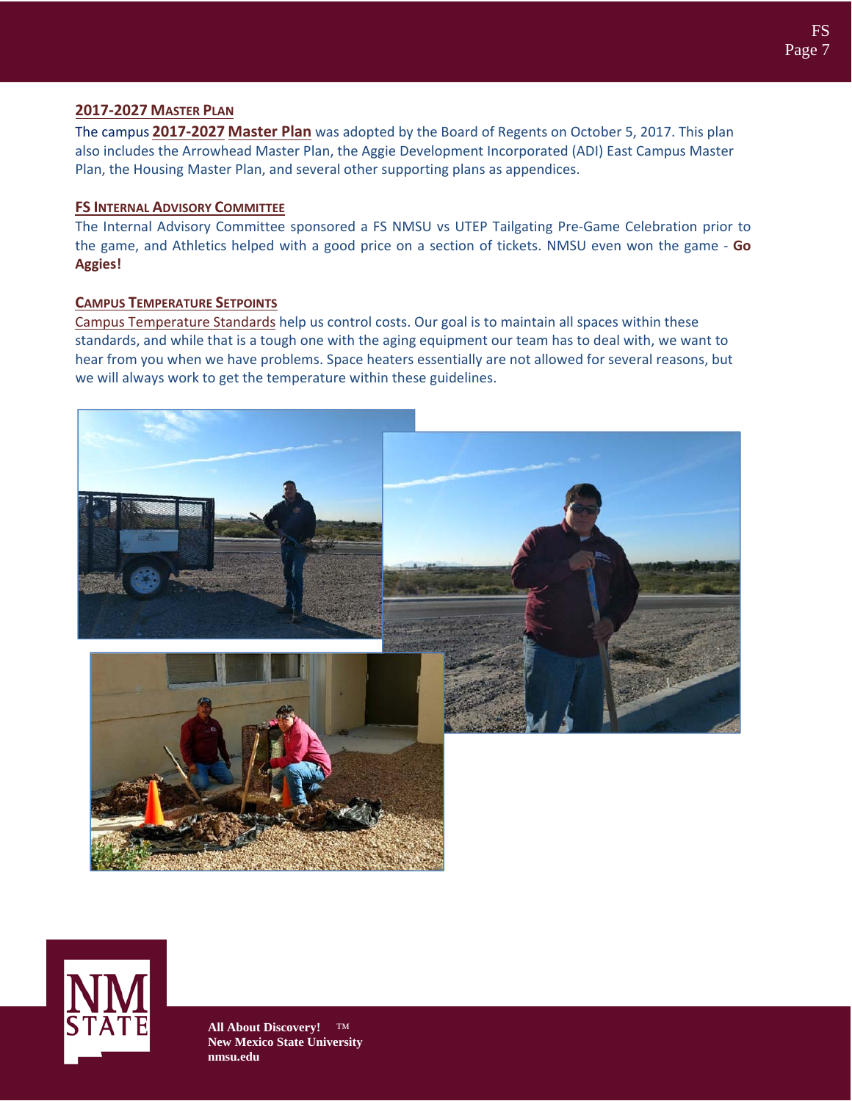#### **2017‐2027 MASTER PLAN**

The campus **2017‐2027 [Master](https://architect.nmsu.edu/wp-content/uploads/sites/85/2017/10/NMSU-Master-Plan-9-27-17-RF.pdf) Plan** was adopted by the Board of Regents on October 5, 2017. This plan also includes the Arrowhead Master Plan, the Aggie Development Incorporated (ADI) East Campus Master Plan, the Housing Master Plan, and several other supporting plans as appendices.

#### **FS INTERNAL ADVISORY COMMITTEE**

The Internal Advisory Committee sponsored a FS NMSU vs UTEP Tailgating Pre‐Game Celebration prior to the game, and Athletics helped with a good price on a section of tickets. NMSU even won the game ‐ **Go Aggies!**

#### **CAMPUS TEMPERATURE SETPOINTS**

Campus [Temperature](https://hr.nmsu.edu/ofs/wp-content/uploads/sites/57/2016/12/Temperature-Set-Point-Memo.pdf) Standards help us control costs. Our goal is to maintain all spaces within these standards, and while that is a tough one with the aging equipment our team has to deal with, we want to hear from you when we have problems. Space heaters essentially are not allowed for several reasons, but we will always work to get the temperature within these guidelines.



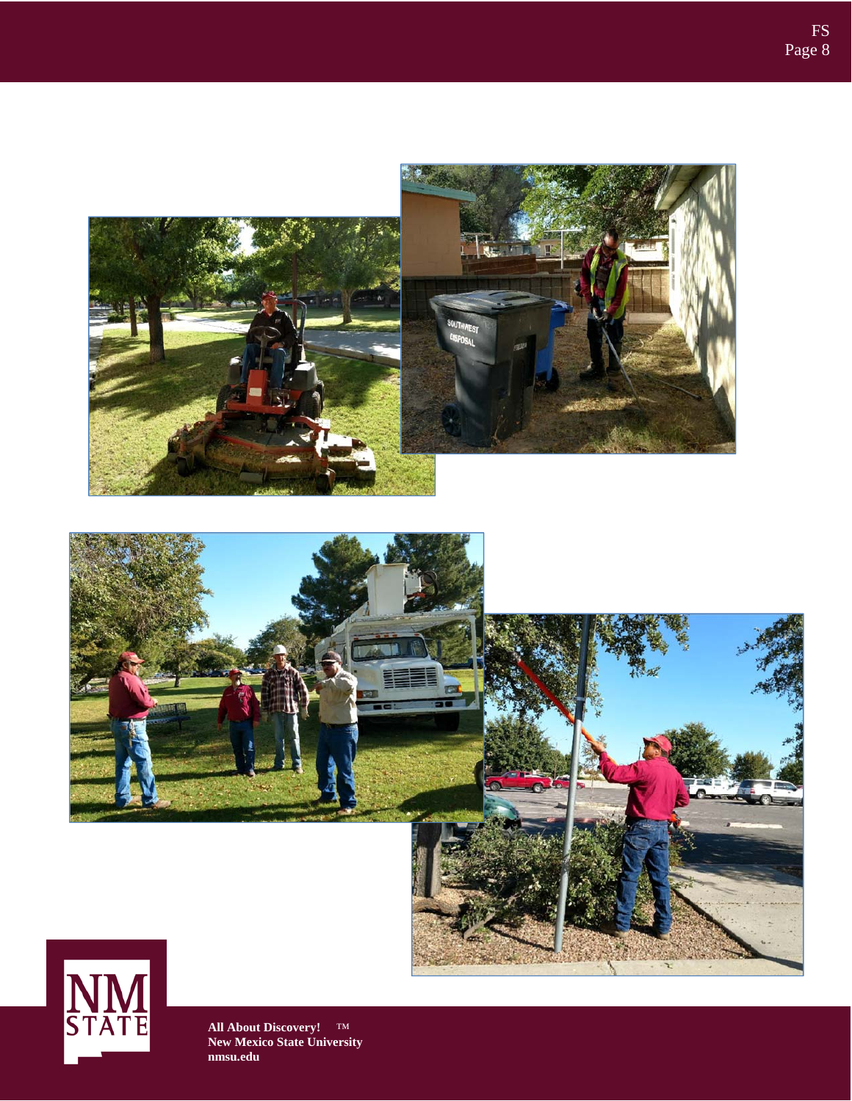